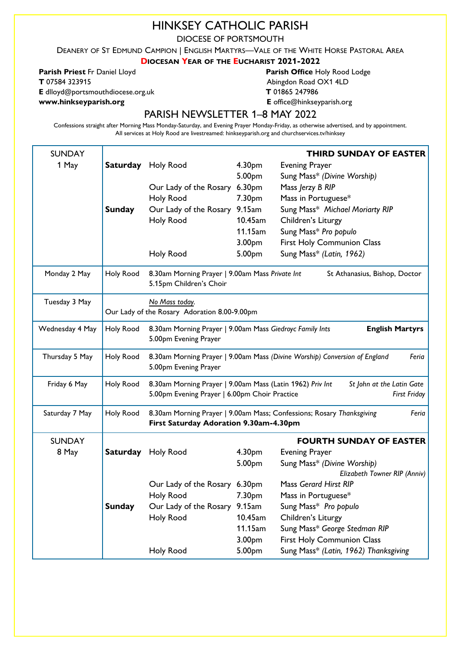# HINKSEY CATHOLIC PARISH

DIOCESE OF PORTSMOUTH

DEANERY OF ST EDMUND CAMPION | ENGLISH MARTYRS—VALE OF THE WHITE HORSE PASTORAL AREA

### DIOCESAN YEAR OF THE EUCHARIST 2021-2022

E dlloyd@portsmouthdiocese.org.uk T 01865 247986

Parish Priest Fr Daniel Lloyd **Parish Office Holy Rood Lodge T** 07584 323915 **Abingdon Road OX1 4LD** 

www.hinkseyparish.org extending the state of the effice of fice of the syparish.org E office Ohinkseyparish.org

## PARISH NEWSLETTER 1–8 MAY 2022

Confessions straight after Morning Mass Monday-Saturday, and Evening Prayer Monday-Friday, as otherwise advertised, and by appointment. All services at Holy Rood are livestreamed: hinkseyparish.org and churchservices.tv/hinksey

| <b>SUNDAY</b>   |               |                                                                                                                          |                    | <b>THIRD SUNDAY OF EASTER</b>                       |
|-----------------|---------------|--------------------------------------------------------------------------------------------------------------------------|--------------------|-----------------------------------------------------|
| 1 May           |               | Saturday Holy Rood                                                                                                       | 4.30 <sub>pm</sub> | <b>Evening Prayer</b>                               |
|                 |               |                                                                                                                          | 5.00pm             | Sung Mass* (Divine Worship)                         |
|                 |               | Our Lady of the Rosary                                                                                                   | 6.30pm             | Mass Jerzy B RIP                                    |
|                 |               | <b>Holy Rood</b>                                                                                                         | 7.30pm             | Mass in Portuguese*                                 |
|                 | <b>Sunday</b> | Our Lady of the Rosary 9.15am                                                                                            |                    | Sung Mass* Michael Moriarty RIP                     |
|                 |               | Holy Rood                                                                                                                | 10.45am            | Children's Liturgy                                  |
|                 |               |                                                                                                                          | 11.15am            | Sung Mass* Pro populo                               |
|                 |               |                                                                                                                          | 3.00pm             | First Holy Communion Class                          |
|                 |               | <b>Holy Rood</b>                                                                                                         | 5.00pm             | Sung Mass* (Latin, 1962)                            |
| Monday 2 May    | Holy Rood     | 8.30am Morning Prayer   9.00am Mass Private Int<br>St Athanasius, Bishop, Doctor<br>5.15pm Children's Choir              |                    |                                                     |
| Tuesday 3 May   |               | No Mass today.<br>Our Lady of the Rosary Adoration 8.00-9.00pm                                                           |                    |                                                     |
| Wednesday 4 May | Holy Rood     | 8.30am Morning Prayer   9.00am Mass Giedroyc Family Ints<br><b>English Martyrs</b><br>5.00pm Evening Prayer              |                    |                                                     |
| Thursday 5 May  | Holy Rood     | 8.30am Morning Prayer   9.00am Mass (Divine Worship) Conversion of England<br>Feria<br>5.00pm Evening Prayer             |                    |                                                     |
| Friday 6 May    | Holy Rood     | 8.30am Morning Prayer   9.00am Mass (Latin 1962) Priv Int                                                                |                    | St John at the Latin Gate                           |
|                 |               | 5.00pm Evening Prayer   6.00pm Choir Practice                                                                            |                    | <b>First Friday</b>                                 |
| Saturday 7 May  | Holy Rood     | 8.30am Morning Prayer   9.00am Mass; Confessions; Rosary Thanksgiving<br>Feria<br>First Saturday Adoration 9.30am-4.30pm |                    |                                                     |
| <b>SUNDAY</b>   |               |                                                                                                                          |                    | <b>FOURTH SUNDAY OF EASTER</b>                      |
| 8 May           |               | Saturday Holy Rood                                                                                                       | 4.30pm             | <b>Evening Prayer</b>                               |
|                 |               |                                                                                                                          | 5.00pm             | Sung Mass* (Divine Worship)                         |
|                 |               |                                                                                                                          |                    | Elizabeth Towner RIP (Anniv)                        |
|                 |               | Our Lady of the Rosary 6.30pm                                                                                            |                    | <b>Mass Gerard Hirst RIP</b>                        |
|                 |               | <b>Holy Rood</b>                                                                                                         | 7.30pm             | Mass in Portuguese*                                 |
|                 | <b>Sunday</b> | Our Lady of the Rosary                                                                                                   | 9.15am<br>10.45am  | Sung Mass* Pro populo                               |
|                 |               | <b>Holy Rood</b>                                                                                                         | 11.15am            | Children's Liturgy<br>Sung Mass* George Stedman RIP |
|                 |               |                                                                                                                          | 3.00pm             | <b>First Holy Communion Class</b>                   |
|                 |               | <b>Holy Rood</b>                                                                                                         | 5.00pm             | Sung Mass* (Latin, 1962) Thanksgiving               |